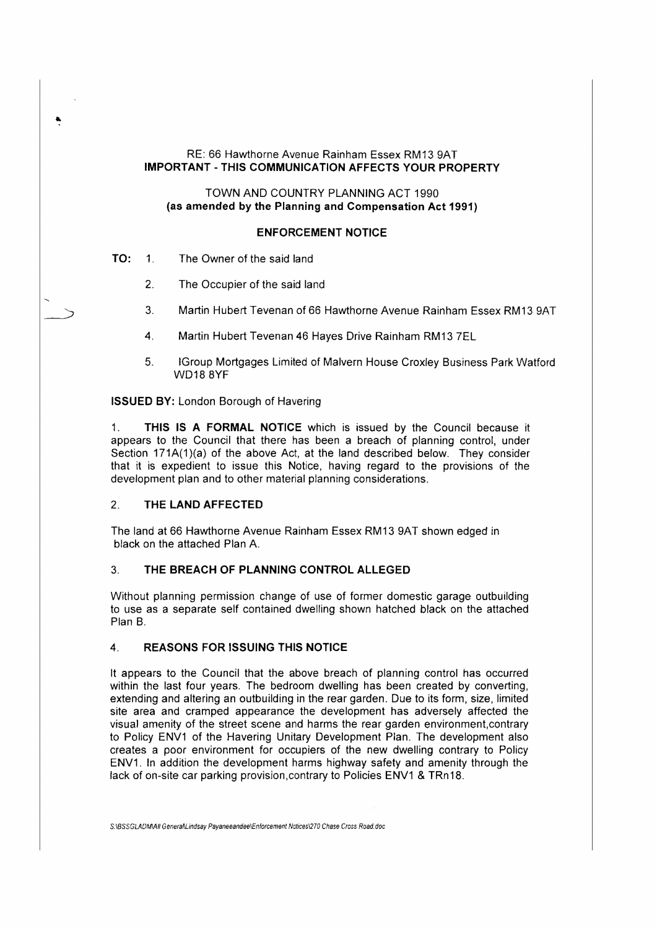RE: 66 Hawthorne Avenue Rainham Essex RM13 9AT **IMPORTANT-THIS COMMUNICATION AFFECTS YOUR PROPERTY** 

TOWN AND COUNTRY PLANNING ACT 1990 **(as amended by the Planning and Compensation Act 1991)** 

#### **ENFORCEMENT NOTICE**

**TO:** 1. The Owner of the said land

٠

- 2. The Occupier of the said land
- 3. Martin Hubert Tevenan of 66 Hawthorne Avenue Rainham Essex RM13 9AT
- 4. Martin Hubert Tevenan 46 Hayes Drive Rainham RM13 ?EL
- 5. !Group Mortgages Limited of Malvern House Croxley Business Park Watford WD18 8YF

**ISSUED BY:** London Borough of Havering

1. **THIS IS A FORMAL NOTICE** which is issued by the Council because it appears to the Council that there has been a breach of planning control, under Section 171A(1)(a) of the above Act, at the land described below. They consider that it is expedient to issue this Notice, having regard to the provisions of the development plan and to other material planning considerations.

# 2. **THE LAND AFFECTED**

The land at 66 Hawthorne Avenue Rainham Essex RM13 9AT shown edged in black on the attached Plan A.

## 3. **THE BREACH OF PLANNING CONTROL ALLEGED**

Without planning permission change of use of former domestic garage outbuilding to use as a separate self contained dwelling shown hatched black on the attached Plan B.

### **4. REASONS FOR ISSUING THIS NOTICE**

It appears to the Council that the above breach of planning control has occurred within the last four years. The bedroom dwelling has been created by converting, extending and altering an outbuilding in the rear garden. Due to its form, size, limited site area and cramped appearance the development has adversely affected the visual amenity of the street scene and harms the rear garden environment.contrary to Policy ENV1 of the Havering Unitary Development Plan. The development also creates a poor environment for occupiers of the new dwelling contrary to Policy ENV1. In addition the development harms highway safety and amenity through the lack of on-site car parking provision.contrary to Policies ENV1 & TRn18.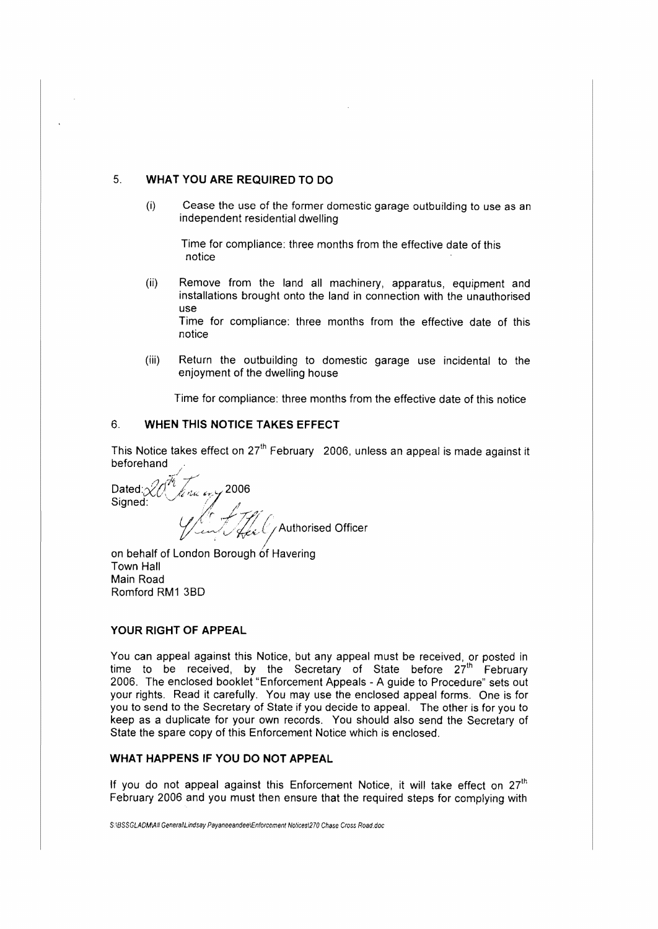# 5. **WHAT YOU ARE REQUIRED TO DO**

(i} Cease the use of the former domestic garage outbuilding to use as an independent residential dwelling

Time for compliance: three months from the effective date of this notice

(ii) Remove from the land all machinery, apparatus, equipment and installations brought onto the land in connection with the unauthorised use

Time for compliance: three months from the effective date of this notice

(iii) Return the outbuilding to domestic garage use incidental to the enjoyment of the dwelling house

Time for compliance: three months from the effective date of this notice

#### 6. **WHEN THIS NOTICE TAKES EFFECT**

This Notice takes effect on  $27<sup>th</sup>$  February 2006, unless an appeal is made against it beforehand

 ${\sf Dated} \ \mathcal{X} \ \stackrel{\mathcal{H}}{\mathcal{M}} \ \stackrel{\mathcal{H}}{\mathcal{M}} \ \ \text{and} \ \ \mathcal{M} \ \mathcal{M}$ *I f*  Signed: ; *-'r ...?~"-* , *~-'\$,,1/\_*Authorised Officer

on behalf of London Borough of Havering Town Hall Main Road Romford RM1 3BD

#### **YOUR RIGHT OF APPEAL**

You can appeal against this Notice, but any appeal must be received, or posted in time to be received, by the Secretary of State before 27<sup>th</sup> February 2006. The enclosed booklet "Enforcement Appeals - A guide to Procedure" sets out your rights. Read it carefully. You may use the enclosed appeal forms. One is for you to send to the Secretary of State if you decide to appeal. The other is for you to keep as a duplicate for your own records. You should also send the Secretary of State the spare copy of this Enforcement Notice which is enclosed.

#### **WHAT HAPPENS IF YOU DO NOT APPEAL**

If you do not appeal against this Enforcement Notice, it will take effect on  $27<sup>th</sup>$ February 2006 and you must then ensure that the required steps for complying with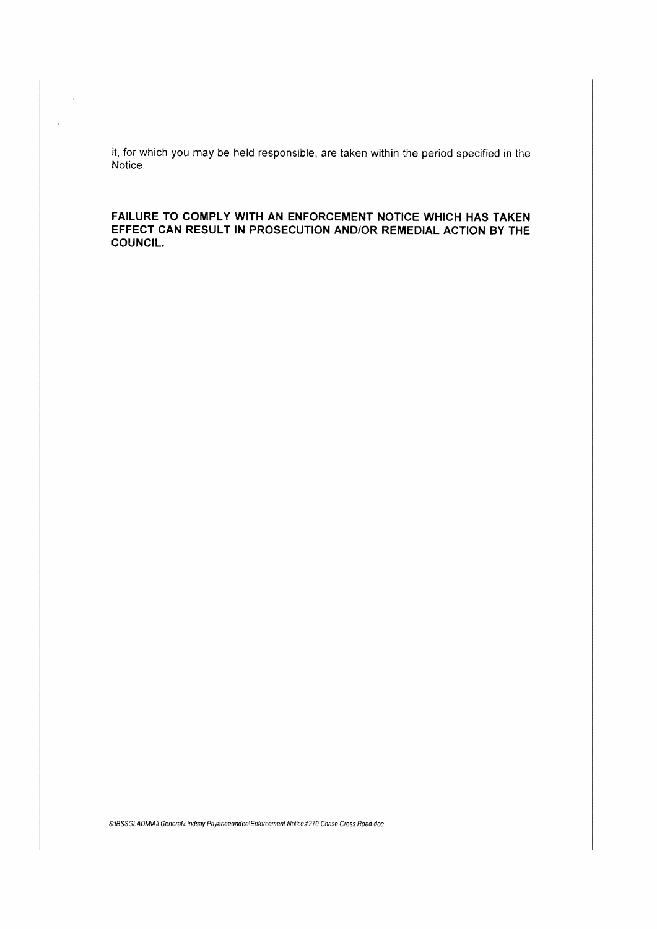it, for which you may be held responsible, are taken within the period specified in the Notice.

 $\ddot{\phantom{1}}$ 

 $\ddot{\phantom{a}}$ 

**FAILURE TO COMPLY WITH AN ENFORCEMENT NOTICE WHICH HAS TAKEN EFFECT CAN RESULT IN PROSECUTION AND/OR REMEDIAL ACTION BY THE COUNCIL.** 

S:\BSSGLADMAII GeneraNLindsay Payaneeandee\Enforcement Nolices\270 Chase Cross Road.doc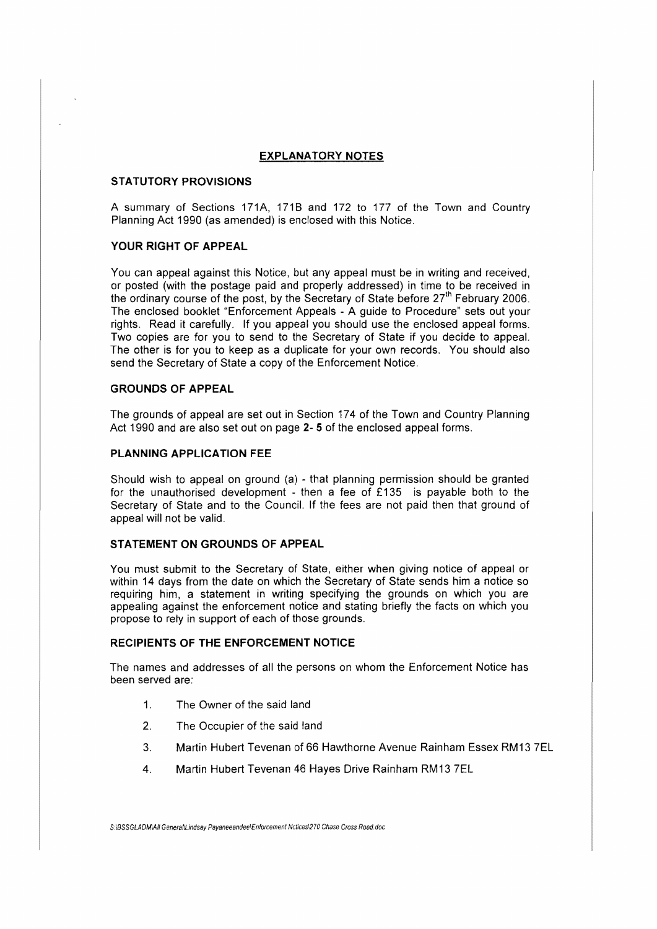## **EXPLANATORY NOTES**

### **STATUTORY PROVISIONS**

A summary of Sections 171A, 171B and 172 to 177 of the Town and Country Planning Act 1990 (as amended) is enclosed with this Notice.

### **YOUR RIGHT OF APPEAL**

You can appeal against this Notice, but any appeal must be in writing and received, or posted (with the postage paid and properly addressed) in time to be received in the ordinary course of the post, by the Secretary of State before  $27<sup>th</sup>$  February 2006. The enclosed booklet "Enforcement Appeals - A guide to Procedure" sets out your rights. Read it carefully. If you appeal you should use the enclosed appeal forms. Two copies are for you to send to the Secretary of State if you decide to appeal. The other is for you to keep as a duplicate for your own records. You should also send the Secretary of State a copy of the Enforcement Notice.

### **GROUNDS OF APPEAL**

The grounds of appeal are set out in Section 174 of the Town and Country Planning Act 1990 and are also set out on page **2- 5** of the enclosed appeal forms.

## **PLANNING APPLICATION FEE**

Should wish to appeal on ground (a) - that planning permission should be granted for the unauthorised development - then a fee of  $£135$  is payable both to the Secretary of State and to the Council. If the fees are not paid then that ground of appeal will not be valid.

### **STATEMENT ON GROUNDS OF APPEAL**

You must submit to the Secretary of State, either when giving notice of appeal or within 14 days from the date on which the Secretary of State sends him a notice so requiring him, a statement in writing specifying the grounds on which you are appealing against the enforcement notice and stating briefly the facts on which you propose to rely in support of each of those grounds.

#### **RECIPIENTS OF THE ENFORCEMENT NOTICE**

The names and addresses of all the persons on whom the Enforcement Notice has been served are:

- 1. The Owner of the said land
- 2. The Occupier of the said land
- 3. Martin Hubert Tevenan of66 Hawthorne Avenue Rainham Essex RM13 ?EL
- 4. Martin Hubert Tevenan 46 Hayes Drive Rainham RM13 ?EL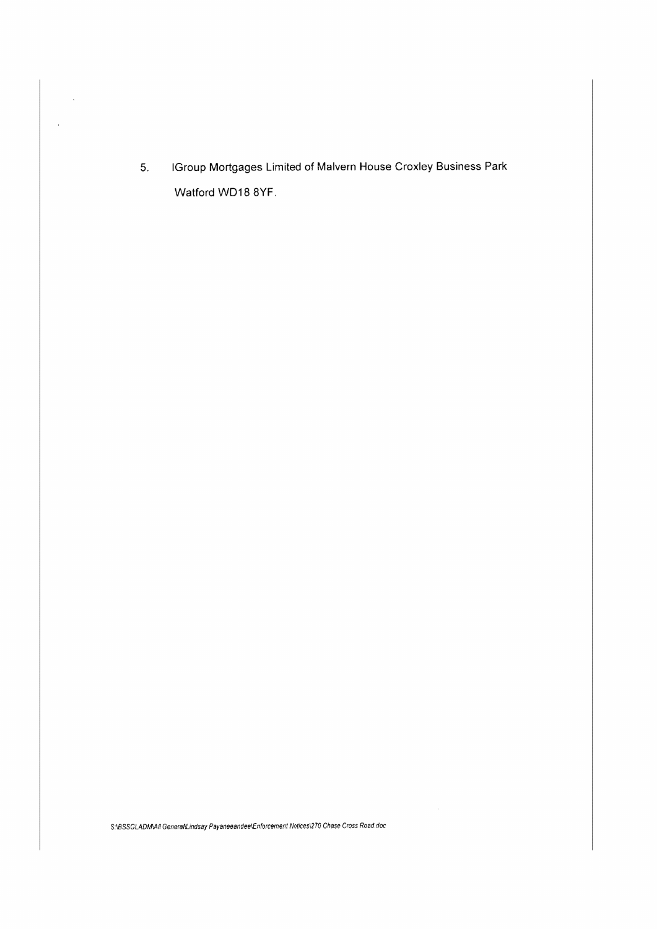5. I Group Mortgages Limited of Malvern House Croxley Business Park Watford WD18 8YF.

 $\hat{\mathcal{A}}$ 

 $\bar{\mathcal{A}}$ 

S:\BSSGLADMAII GeneraN.indsay Payaneeandee\Enforcement Notices\270 Chase Cross Road.doc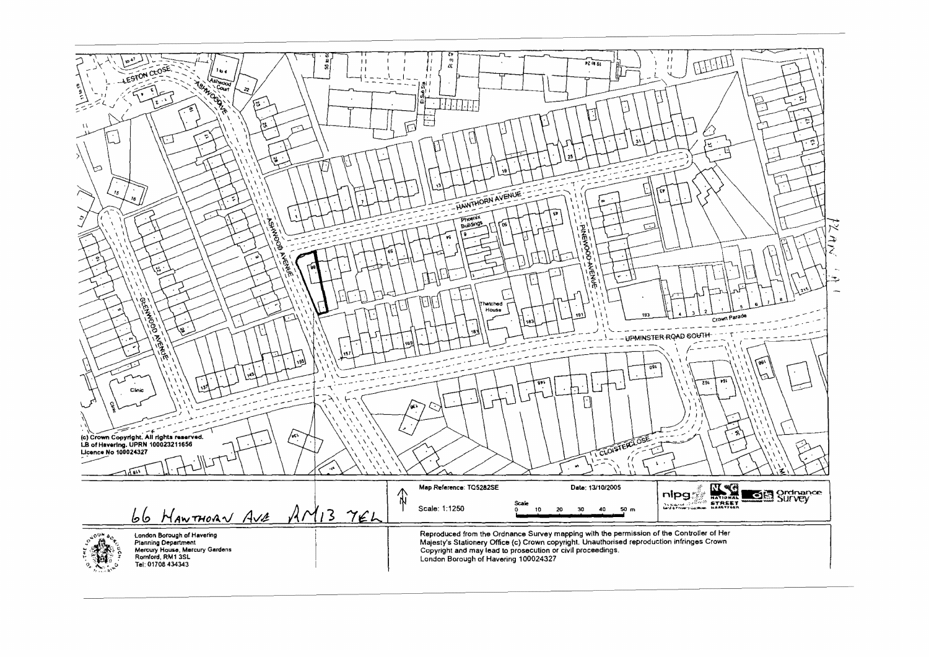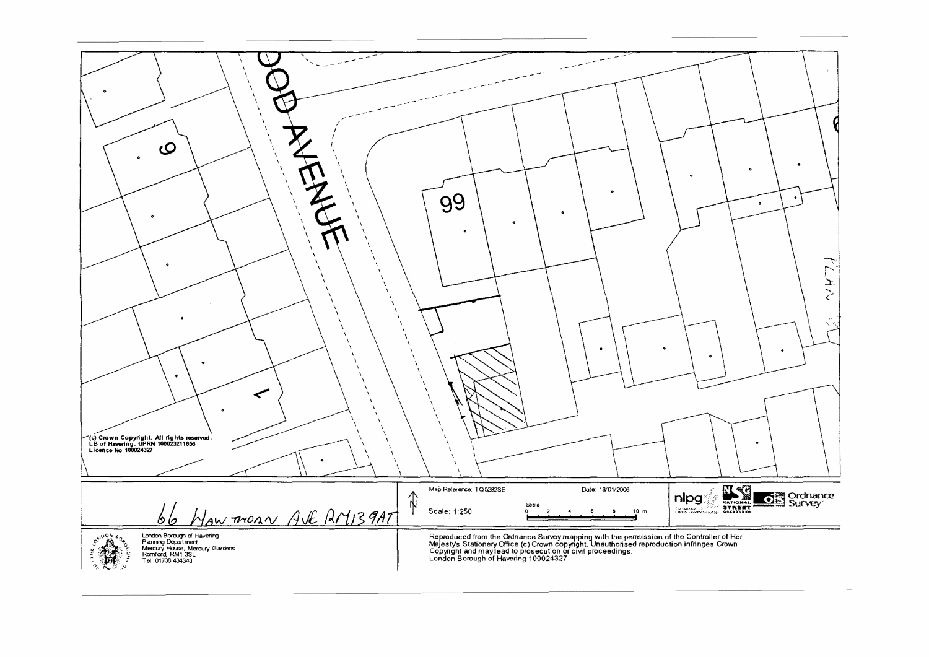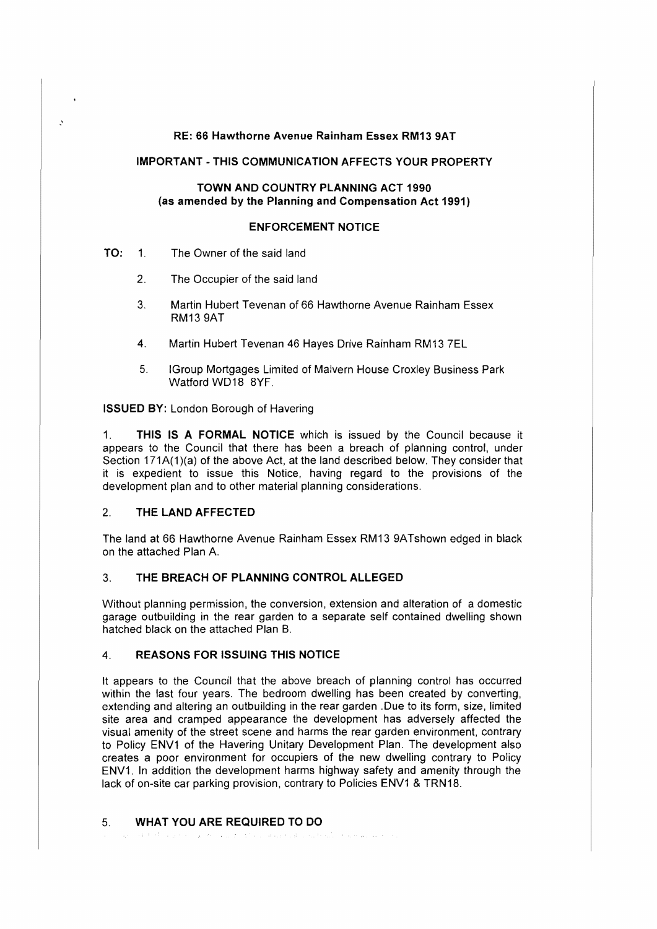## RE: 66 Hawthorne Avenue Rainham Essex RM13 9AT

### **IMPORTANT** - **THIS COMMUNICATION AFFECTS YOUR PROPERTY**

## **TOWN AND COUNTRY PLANNING ACT 1990 (as amended by the Planning and Compensation Act 1991)**

## **ENFORCEMENT NOTICE**

## **TO:** 1. The Owner of the said land

 $\mathcal{L}$ 

- 2. The Occupier of the said land
- 3. Martin Hubert Tevenan of 66 Hawthorne Avenue Rainham Essex **RM13** 9AT
- 4. Martin Hubert Tevenan 46 Hayes Drive Rainham RM13 7EL
- 5. !Group Mortgages Limited of Malvern House Croxley Business Park Watford WD18 8YF.

**ISSUED BY:** London Borough of Havering

1. **THIS IS A FORMAL NOTICE** which is issued by the Council because it appears to the Council that there has been a breach of planning control, under Section 171A(1)(a) of the above Act, at the land described below. They consider that it is expedient to issue this Notice, having regard to the provisions of the development plan and to other material planning considerations.

# 2. **THE LAND AFFECTED**

The land at 66 Hawthorne Avenue Rainham Essex RM13 9ATshown edged in black on the attached Plan A.

# 3. **THE BREACH OF PLANNING CONTROL ALLEGED**

Without planning permission, the conversion, extension and alteration of a domestic garage outbuilding in the rear garden to a separate self contained dwelling shown hatched black on the attached Plan B.

# 4. **REASONS FOR ISSUING THIS NOTICE**

It appears to the Council that the above breach of planning control has occurred within the last four years. The bedroom dwelling has been created by converting, extending and altering an outbuilding in the rear garden .Due to its form, size, limited site area and cramped appearance the development has adversely affected the visual amenity of the street scene and harms the rear garden environment, contrary to Policy ENV1 of the Havering Unitary Development Plan. The development also creates a poor environment for occupiers of the new dwelling contrary to Policy ENV1. In addition the development harms highway safety and amenity through the lack of on-site car parking provision, contrary to Policies ENV1 & TRN18.

# 5. **WHAT YOU ARE REQUIRED TO DO**

of the Company of the property of the Company of the Company of the Company of the Company of the Company of the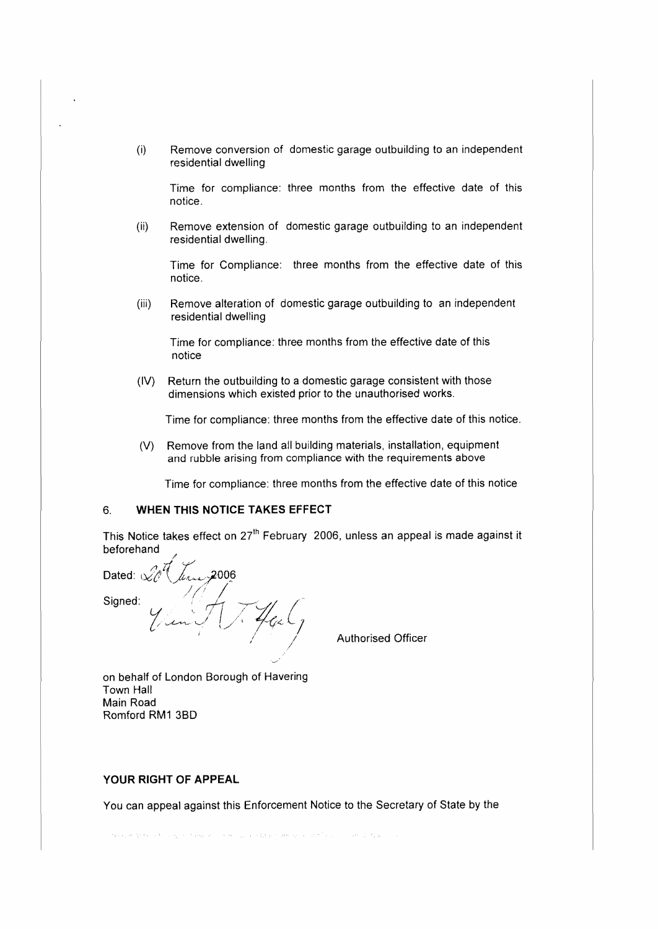(i) Remove conversion of domestic garage outbuilding to an independent residential dwelling

Time for compliance: three months from the effective date of this notice.

(ii) Remove extension of domestic garage outbuilding to an independent residential dwelling.

Time for Compliance: three months from the effective date of this notice.

(iii) Remove alteration of domestic garage outbuilding to an independent residential dwelling

Time for compliance: three months from the effective date of this notice

(IV) Return the outbuilding to a domestic garage consistent with those dimensions which existed prior to the unauthorised works.

Time for compliance: three months from the effective date of this notice.

(V} Remove from the land all building materials, installation, equipment and rubble arising from compliance with the requirements above

Time for compliance: three months from the effective date of this notice

# 6. **WHEN THIS NOTICE TAKES EFFECT**

This Notice **takes** effect on 27'h February 2006, unless an appeal is made against it beforehand

/ Dated:  $\sqrt{7}$ ,  $\mu_{\text{max}}$ , 2006 Signed:  $\frac{1}{\sqrt{2\pi}}\int\frac{1}{\sqrt{2\pi}}\int\frac{1}{\sqrt{2\pi}}\int\frac{1}{\sqrt{2\pi}}$ 

Authorised Officer

on behalf of London Borough of Havering Town Hall Main Road Romford RM1 38D

# **YOUR RIGHT OF APPEAL**

You can appeal against this Enforcement Notice to the Secretary of State by the

development of congress and on the construction of the construction of the construction of the construction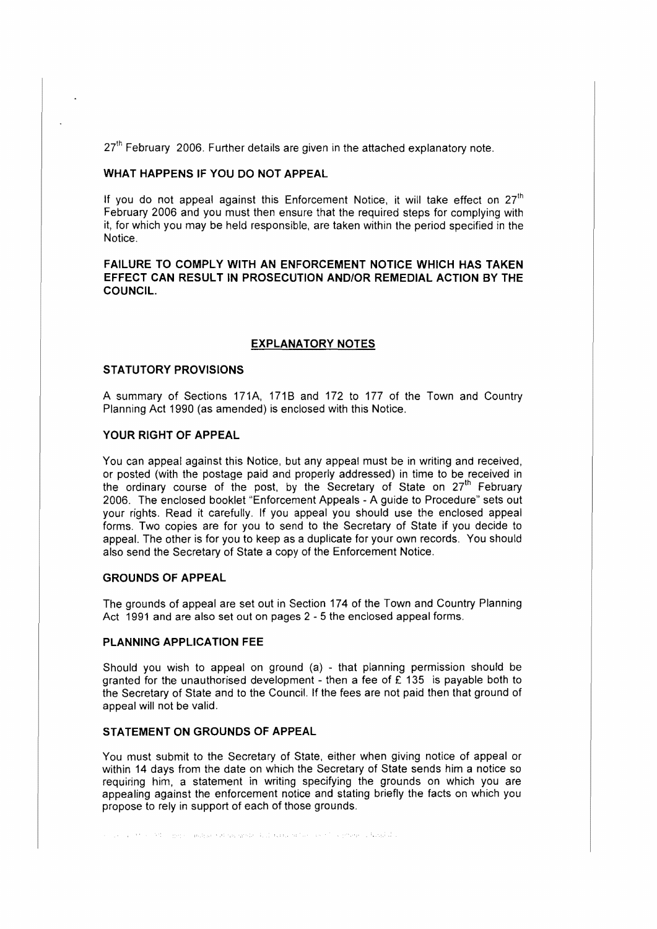$27<sup>th</sup>$  February 2006. Further details are given in the attached explanatory note.

#### **WHAT HAPPENS IF YOU DO NOT APPEAL**

If you do not appeal against this Enforcement Notice, it will take effect on  $27<sup>th</sup>$ February 2006 and you must then ensure that the required steps for complying with it, for which you may be held responsible, are taken within the period specified in the Notice.

### **FAILURE TO COMPLY WITH AN ENFORCEMENT NOTICE WHICH HAS TAKEN EFFECT CAN RESULT IN PROSECUTION AND/OR REMEDIAL ACTION BY THE COUNCIL.**

#### **EXPLANATORY NOTES**

# **STATUTORY PROVISIONS**

A summary of Sections 171A, 171B and 172 to 177 of the Town and Country Planning Act 1990 (as amended) is enclosed with this Notice.

## **YOUR RIGHT OF APPEAL**

You can appeal against this Notice, but any appeal must be in writing and received, or posted (with the postage paid and properly addressed) in time to be received in the ordinary course of the post, by the Secretary of State on  $27<sup>th</sup>$  February 2006. The enclosed booklet "Enforcement Appeals - A guide to Procedure" sets out your rights. Read it carefully. If you appeal you should use the enclosed appeal forms. Two copies are for you to send to the Secretary of State if you decide to appeal. The other is for you to keep as a duplicate for your own records. You should also send the Secretary of State a copy of the Enforcement Notice.

# **GROUNDS OF APPEAL**

The grounds of appeal are set out in Section 174 of the Town and Country Planning Act 1991 and are also set out on pages 2 - 5 the enclosed appeal forms.

#### **PLANNING APPLICATION FEE**

Should you wish to appeal on ground (a) - that planning permission should be granted for the unauthorised development - then a fee of  $E$  135 is payable both to the Secretary of State and to the Council. If the fees are not paid then that ground of appeal will not be valid.

#### **STATEMENT ON GROUNDS OF APPEAL**

You must submit to the Secretary of State, either when giving notice of appeal or within 14 days from the date on which the Secretary of State sends him a notice so requiring him, a statement in writing specifying the grounds on which you are appealing against the enforcement notice and stating briefly the facts on which you propose to rely in support of each of those grounds.

so como servico Mino Berle Candidas e dispuestado finha canto da Socialis e Sociedade y Nobel do C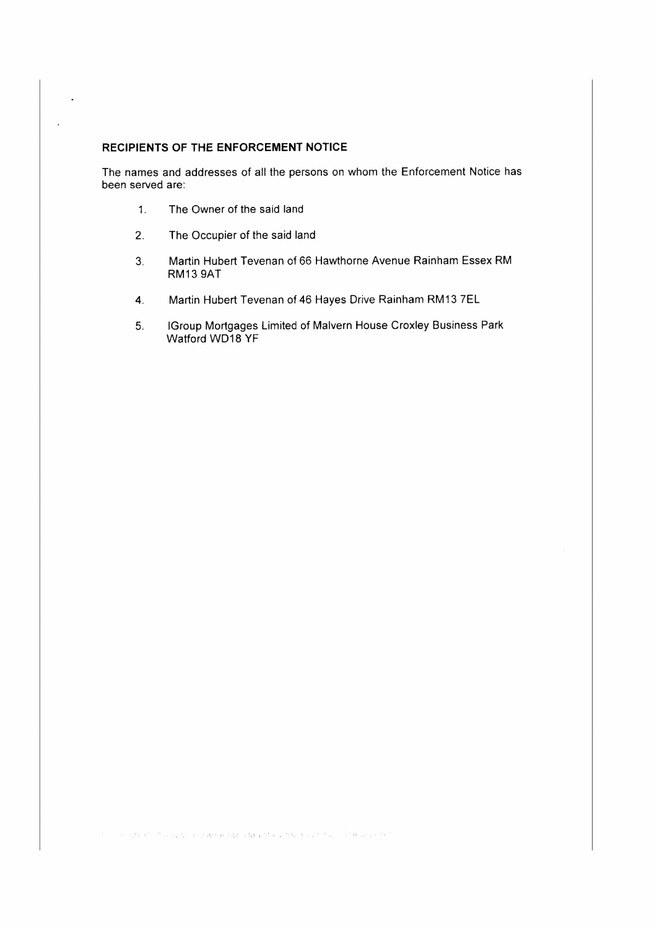## **RECIPIENTS OF THE ENFORCEMENT NOTICE**

l.

 $\ddot{\phantom{0}}$ 

The names and addresses of all the persons on whom the Enforcement Notice has been served are:

- 1. The Owner of the said land
- 2. The Occupier of the said land
- 3. Martin Hubert Tevenan of 66 Hawthorne Avenue Rainham Essex RM RM13 9AT
- **4.** Martin Hubert Tevenan of 46 Hayes Drive Rainham RM13 7EL
- 5. IGroup Mortgages Limited of Malvern House Croxley Business Park Watford WD18 YF

and the 1940s for the subscription was a resource of the problem of the Society for the constant and control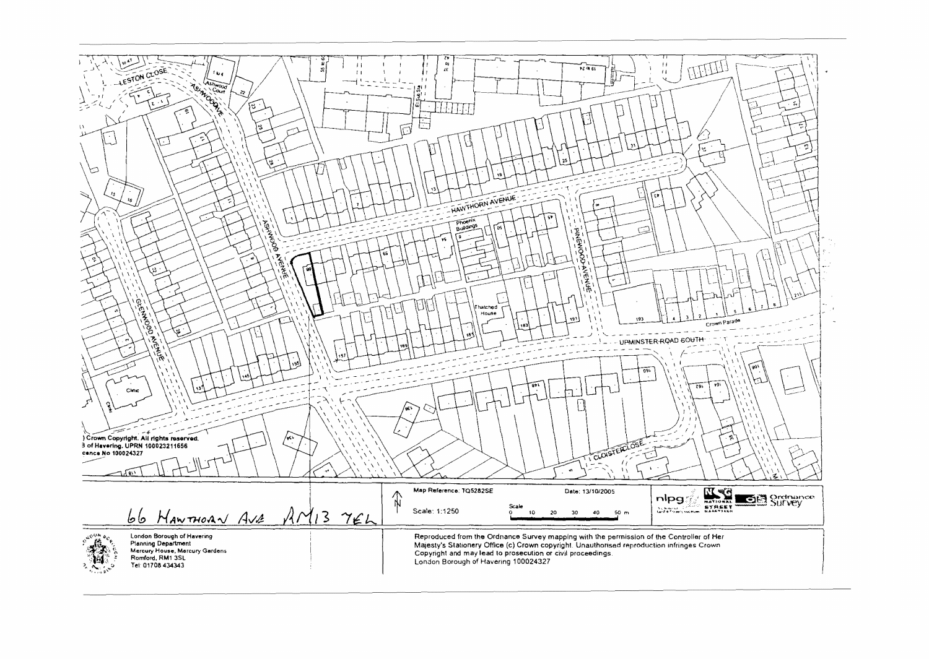